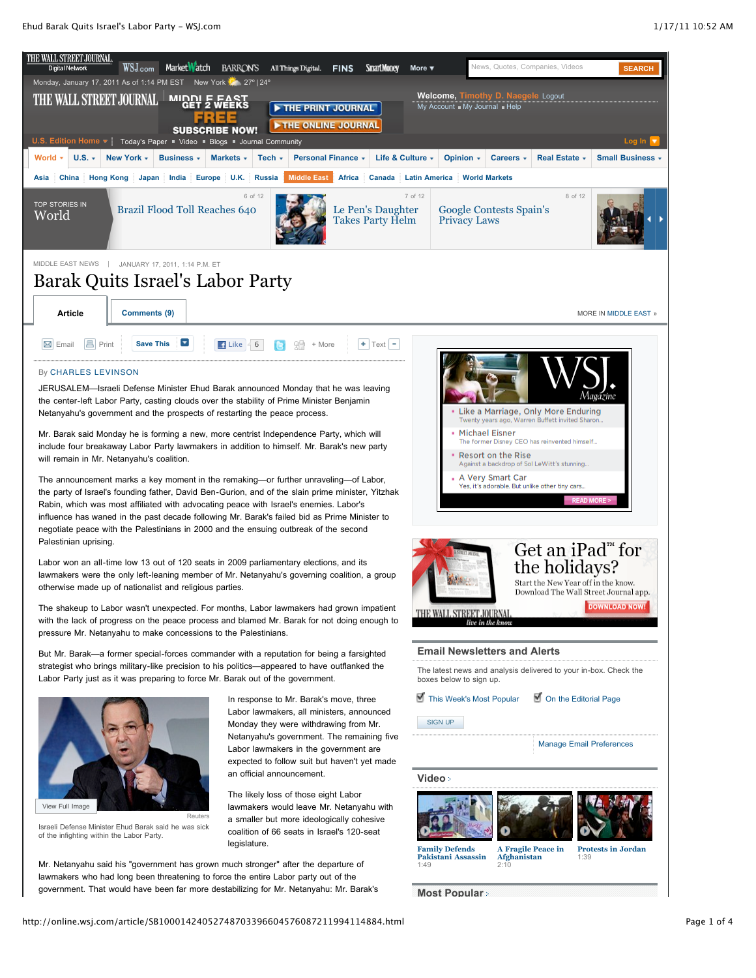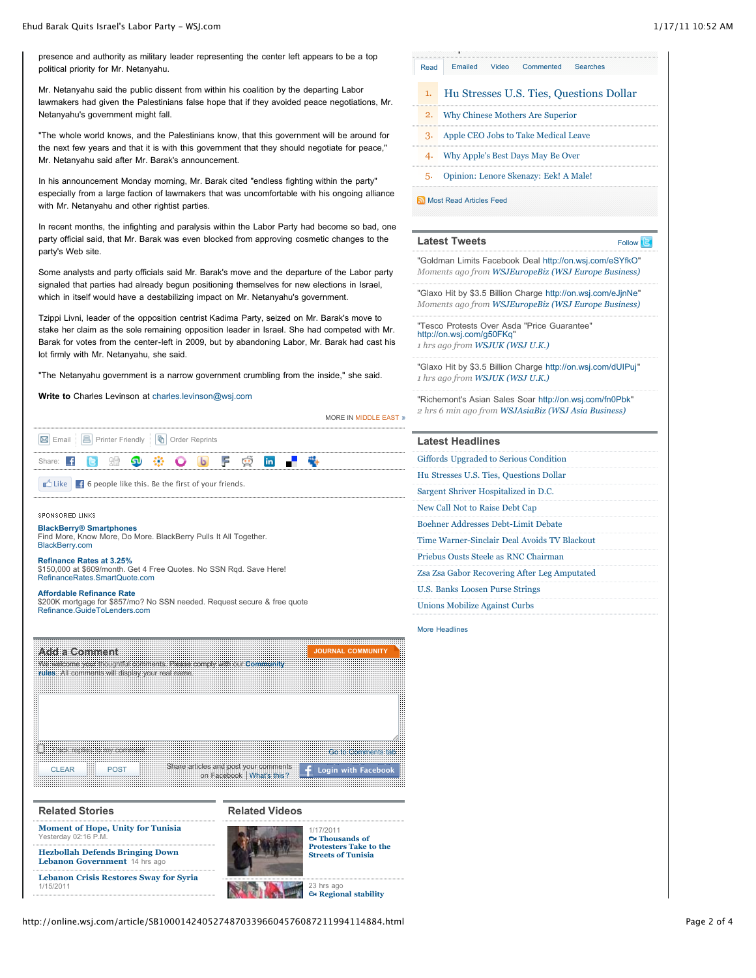presence and authority as military leader representing the center left appears to be a top political priority for Mr. Netanyahu.

Mr. Netanyahu said the public dissent from within his coalition by the departing Labor lawmakers had given the Palestinians false hope that if they avoided peace negotiations, Mr. Netanyahu's government might fall.

"The whole world knows, and the Palestinians know, that this government will be around for the next few years and that it is with this government that they should negotiate for peace," Mr. Netanyahu said after Mr. Barak's announcement.

In his announcement Monday morning, Mr. Barak cited "endless fighting within the party" especially from a large faction of lawmakers that was uncomfortable with his ongoing alliance with Mr. Netanyahu and other rightist parties.

In recent months, the infighting and paralysis within the Labor Party had become so bad, one party official said, that Mr. Barak was even blocked from approving cosmetic changes to the party's Web site.

Some analysts and party officials said Mr. Barak's move and the departure of the Labor party signaled that parties had already begun positioning themselves for new elections in Israel, which in itself would have a destabilizing impact on Mr. Netanyahu's government.

Tzippi Livni, leader of the opposition centrist Kadima Party, seized on Mr. Barak's move to stake her claim as the sole remaining opposition leader in Israel. She had competed with Mr. Barak for votes from the center-left in 2009, but by abandoning Labor, Mr. Barak had cast his lot firmly with Mr. Netanyahu, she said.

"The Netanyahu government is a narrow government crumbling from the inside," she said.

**Write to** Charles Levinson at [charles.levinson@wsj.com](mailto:charles.levinson@wsj.com)

|                                                                                                                                                          | <b>MORE IN MIDDLE EAST *</b>              |
|----------------------------------------------------------------------------------------------------------------------------------------------------------|-------------------------------------------|
| 陆<br>昌<br>Printer Friendly<br>M Email<br>Order Reprints                                                                                                  |                                           |
| F<br>in.<br>รง<br>☺<br>Share:                                                                                                                            |                                           |
| <b>D</b> Like<br>F 6 people like this. Be the first of your friends.                                                                                     |                                           |
| <b>SPONSORED LINKS</b>                                                                                                                                   |                                           |
| <b>BlackBerry® Smartphones</b><br>Find More, Know More, Do More. BlackBerry Pulls It All Together.<br>BlackBerry.com                                     |                                           |
| <b>Refinance Rates at 3.25%</b><br>\$150,000 at \$609/month. Get 4 Free Quotes. No SSN Rgd. Save Here!<br>RefinanceRates.SmartQuote.com                  |                                           |
| <b>Affordable Refinance Rate</b><br>\$200K mortgage for \$857/mo? No SSN needed. Request secure & free quote<br>Refinance GuideToLenders.com             |                                           |
| <b>Add a Comment</b><br>We welcome your thoughtful comments. Please comply with our <b>Community</b><br>rules. All comments will display your real name. | <b>JOURNAL COMMUNITY</b>                  |
| Track replies to my comment                                                                                                                              |                                           |
| Share articles and post your comments<br><b>CLEAR</b><br><b>POST</b><br>on Facebook   What's this?                                                       | Go to Comments tab<br>Login with Facebook |

| <b>Related Stories</b>                                                  | <b>Related Videos</b>                                      |                                                  |
|-------------------------------------------------------------------------|------------------------------------------------------------|--------------------------------------------------|
| <b>Moment of Hope, Unity for Tunisia</b><br>Yesterday 02:16 P.M.        |                                                            | 1/17/2011<br><b>O</b> Thousands of               |
| <b>Hezbollah Defends Bringing Down</b><br>Lebanon Government 14 hrs ago | <b>Protesters Take to the</b><br><b>Streets of Tunisia</b> |                                                  |
| <b>Lebanon Crisis Restores Sway for Syria</b><br>1/15/2011              |                                                            | 23 hrs ago<br>$\Theta$ <b>Regional stability</b> |

| Read | Commented Searches<br><b>Emailed</b><br>Video |  |
|------|-----------------------------------------------|--|
| 1.   | Hu Stresses U.S. Ties, Questions Dollar       |  |
| 2.   | Why Chinese Mothers Are Superior              |  |
|      | 3. Apple CEO Jobs to Take Medical Leave       |  |
|      | 4. Why Apple's Best Days May Be Over          |  |
|      | Opinion: Lenore Skenazy: Eek! A Male!         |  |

[Most Read Articles Feed](http://online.wsj.com/rss?mod=fpp_rss)

| <b>Latest Tweets</b>                                                                                                       | Follow <b>E</b> |
|----------------------------------------------------------------------------------------------------------------------------|-----------------|
| "Goldman Limits Facebook Deal http://on.wsj.com/eSYfkO"<br>Moments ago from <b>WSJEuropeBiz (WSJ Europe Business)</b>      |                 |
| "Glaxo Hit by \$3.5 Billion Charge http://on.wsj.com/eJjnNe"<br>Moments ago from <b>WSJEuropeBiz (WSJ Europe Business)</b> |                 |
| "Tesco Protests Over Asda "Price Guarantee"<br>http://on.wsj.com/q50FKq"                                                   |                 |

*1 hrs ago from [WSJUK \(WSJ U.K.\)](http://twitter.com/WSJUK)*

"Glaxo Hit by \$3.5 Billion Charge <http://on.wsj.com/dUIPuj>" *1 hrs ago from [WSJUK \(WSJ U.K.\)](http://twitter.com/WSJUK)*

"Richemont's Asian Sales Soar <http://on.wsj.com/fn0Pbk>" *2 hrs 6 min ago from [WSJAsiaBiz \(WSJ Asia Business\)](http://twitter.com/WSJAsiaBiz)*

| Giffords Upgraded to Serious Condition       |
|----------------------------------------------|
| Hu Stresses U.S. Ties, Questions Dollar      |
| Sargent Shriver Hospitalized in D.C.         |
| New Call Not to Raise Debt Cap               |
| Boehner Addresses Debt-Limit Debate          |
| Time Warner-Sinclair Deal Avoids TV Blackout |
| Priebus Ousts Steele as RNC Chairman         |
| Zsa Zsa Gabor Recovering After Leg Amputated |
| U.S. Banks Loosen Purse Strings              |
| Unions Mobilize Against Curbs                |
|                                              |

Headlines